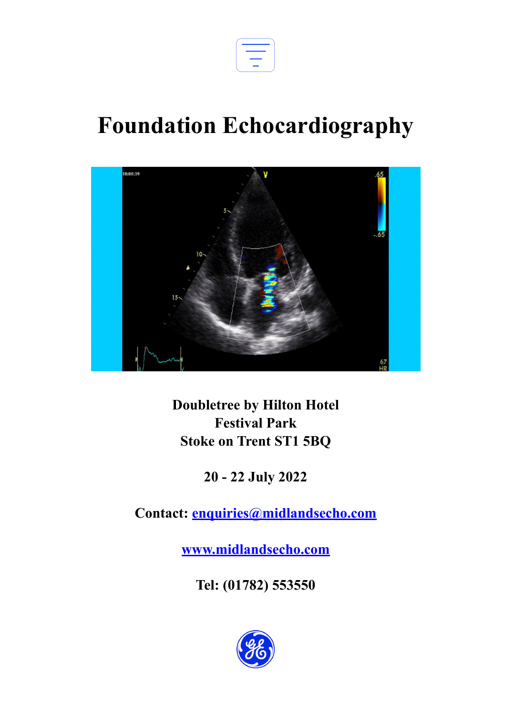

## **Foundation Echocardiography**



**Doubletree by Hilton Hotel Festival Park Stoke on Trent ST1 5BQ**

**20 - 22 July 2022**

**Contact: [enquiries@midlandsecho.com](mailto:enquiries@midlandsecho.com)**

**[www.midlandsecho.com](http://www.midlandsecho.com)**

**Tel: (01782) 553550**

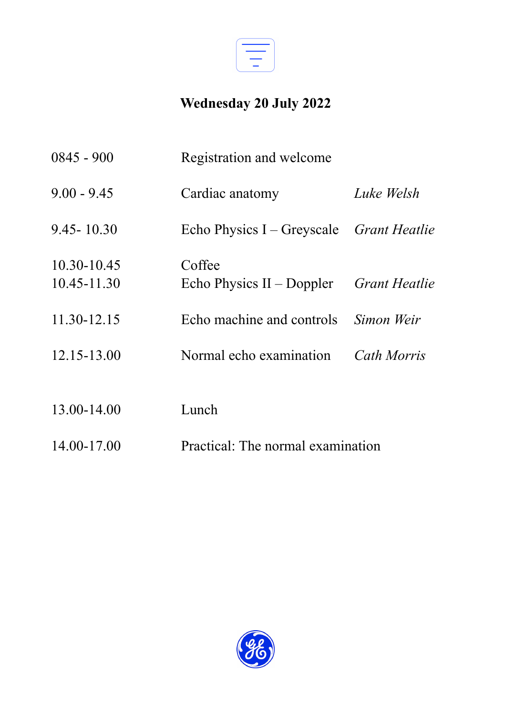

## **Wednesday 20 July 2022**

| $0845 - 900$               | Registration and welcome                 |               |
|----------------------------|------------------------------------------|---------------|
| $9.00 - 9.45$              | Cardiac anatomy                          | Luke Welsh    |
| $9.45 - 10.30$             | Echo Physics I – Greyscale Grant Heatlie |               |
| 10.30-10.45<br>10.45-11.30 | Coffee<br>Echo Physics $II$ – Doppler    | Grant Heatlie |
| 11.30-12.15                | Echo machine and controls                | Simon Weir    |
| 12.15-13.00                | Normal echo examination                  | Cath Morris   |
| 13.00-14.00                | Lunch                                    |               |
| 14.00-17.00                | Practical: The normal examination        |               |

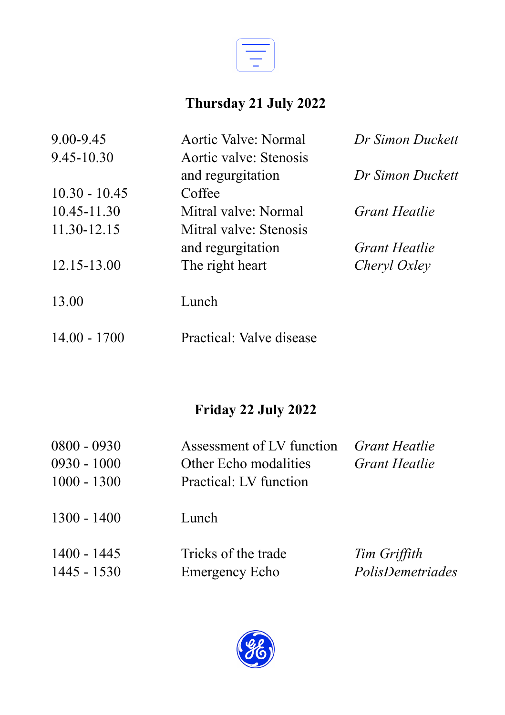

## **Thursday 21 July 2022**

| 9.00-9.45       | Aortic Valve: Normal     | Dr Simon Duckett |
|-----------------|--------------------------|------------------|
| 9.45-10.30      | Aortic valve: Stenosis   |                  |
|                 | and regurgitation        | Dr Simon Duckett |
| $10.30 - 10.45$ | Coffee                   |                  |
| 10.45-11.30     | Mitral valve: Normal     | Grant Heatlie    |
| 11.30-12.15     | Mitral valve: Stenosis   |                  |
|                 | and regurgitation        | Grant Heatlie    |
| 12.15-13.00     | The right heart          | Cheryl Oxley     |
| 13.00           | Lunch                    |                  |
| $14.00 - 1700$  | Practical: Valve disease |                  |

## **Friday 22 July 2022**

| $0800 - 0930$<br>$0930 - 1000$<br>$1000 - 1300$ | Assessment of LV function<br>Other Echo modalities<br>Practical: LV function | <i>Grant Heatlie</i><br><i>Grant Heatlie</i> |
|-------------------------------------------------|------------------------------------------------------------------------------|----------------------------------------------|
| $1300 - 1400$                                   | Lunch                                                                        |                                              |
| $1400 - 1445$<br>$1445 - 1530$                  | Tricks of the trade<br>Emergency Echo                                        | Tim Griffith<br>PolisDemetriades             |